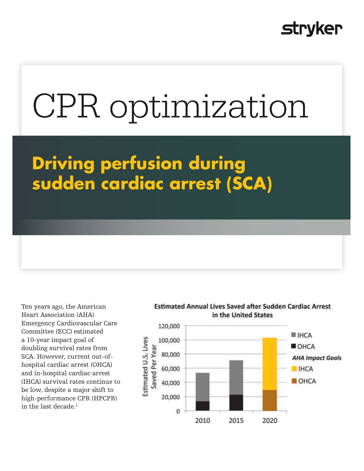# **Stryker**

# CPR optimization

**Driving perfusion during sudden cardiac arrest (SCA)**

Ten years ago, the American Heart Association (AHA) Emergency Cardiovascular Care Committee (ECC) estimated a 10-year impact goal of doubling survival rates from SCA. However, current out-ofhospital cardiac arrest (OHCA) and in-hospital cardiac arrest (IHCA) survival rates continue to be low, despite a major shift to high-performance CPR (HPCPR) in the last decade. $<sup>1</sup>$ </sup>

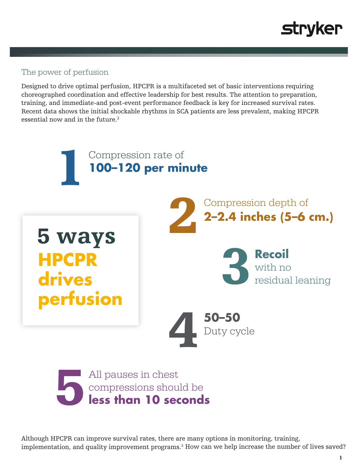

#### The power of perfusion

Designed to drive optimal perfusion, HPCPR is a multifaceted set of basic interventions requiring choreographed coordination and effective leadership for best results. The attention to preparation, training, and immediate-and post-event performance feedback is key for increased survival rates. Recent data shows the initial shockable rhythms in SCA patients are less prevalent, making HPCPR essential now and in the future.<sup>2</sup>



Although HPCPR can improve survival rates, there are many options in monitoring, training, implementation, and quality improvement programs.3 How can we help increase the number of lives saved?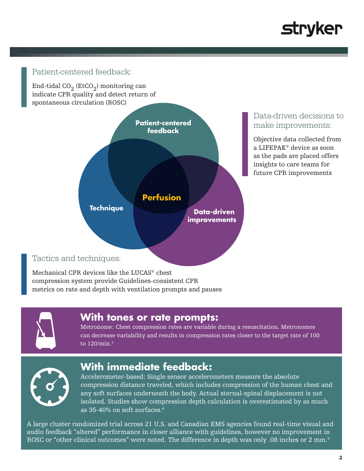

#### Patient-centered feedback:

End-tidal CO<sub>2</sub> (EtCO<sub>2</sub>) monitoring can indicate CPR quality and detect return of spontaneous circulation (ROSC)



#### Data-driven decisions to make improvements:

Objective data collected from a LIFEPAK® device as soon as the pads are placed offers insights to care teams for future CPR improvements

Tactics and techniques:

Mechanical CPR devices like the LUCAS® chest compression system provide Guidelines-consistent CPR metrics on rate and depth with ventilation prompts and pauses



#### **With tones or rate prompts:**

Metronome: Chest compression rates are variable during a resuscitation. Metronomes can decrease variability and results in compression rates closer to the target rate of 100 to 120/min.3



### **With immediate feedback:**

Accelerometer-based: Single sensor accelerometers measure the absolute compression distance traveled, which includes compression of the human chest and any soft surfaces underneath the body. Actual sternal-spinal displacement is not isolated. Studies show compression depth calculation is overestimated by as much as 35-40% on soft surfaces.4

A large cluster randomized trial across 21 U.S. and Canadian EMS agencies found real-time visual and audio feedback "altered" performance in closer alliance with guidelines, however no improvement in ROSC or "other clinical outcomes" were noted. The difference in depth was only .08 inches or 2 mm.<sup>5</sup>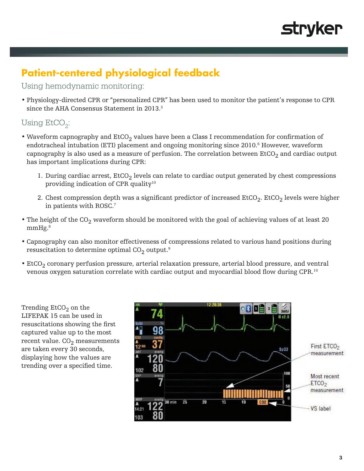

## **Patient-centered physiological feedback**

#### Using hemodynamic monitoring:

• Physiology-directed CPR or "personalized CPR" has been used to monitor the patient's response to CPR since the AHA Consensus Statement in 2013.<sup>3</sup>

#### Using  $E<sub>c</sub>CO<sub>2</sub>$ :

- Waveform capnography and  $ECO<sub>2</sub>$  values have been a Class I recommendation for confirmation of endotracheal intubation (ETI) placement and ongoing monitoring since 2010.<sup>6</sup> However, waveform capnography is also used as a measure of perfusion. The correlation between  $E<sub>1</sub>CO<sub>2</sub>$  and cardiac output has important implications during CPR:
	- 1. During cardiac arrest,  $E<sub>2</sub>$  levels can relate to cardiac output generated by chest compressions providing indication of CPR quality<sup>10</sup>
	- 2. Chest compression depth was a significant predictor of increased  $EtCO<sub>2</sub>$ . EtCO<sub>2</sub> levels were higher in patients with ROSC.7
- The height of the  $CO_2$  waveform should be monitored with the goal of achieving values of at least 20 mmHg.<sup>8</sup>
- Capnography can also monitor effectiveness of compressions related to various hand positions during resuscitation to determine optimal  $CO<sub>2</sub>$  output.<sup>9</sup>
- $\cdot$  EtCO<sub>2</sub> coronary perfusion pressure, arterial relaxation pressure, arterial blood pressure, and ventral venous oxygen saturation correlate with cardiac output and myocardial blood flow during CPR.<sup>10</sup>

Trending  $EtCO<sub>2</sub>$  on the LIFEPAK 15 can be used in resuscitations showing the first captured value up to the most recent value.  $CO<sub>2</sub>$  measurements are taken every 30 seconds, displaying how the values are trending over a specified time.

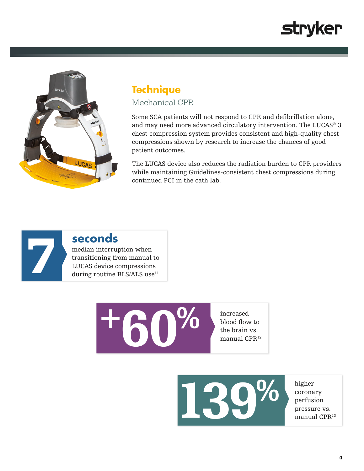# **stryker**



#### **Technique** Mechanical CPR

Some SCA patients will not respond to CPR and defibrillation alone, and may need more advanced circulatory intervention. The LUCAS® 3 chest compression system provides consistent and high-quality chest compressions shown by research to increase the chances of good patient outcomes.

The LUCAS device also reduces the radiation burden to CPR providers while maintaining Guidelines-consistent chest compressions during continued PCI in the cath lab.



## **seconds**

median interruption when transitioning from manual to LUCAS device compressions median interruption when<br>transitioning from manual to<br>LUCAS device compressions<br>during routine BLS/ALS use<sup>11</sup>

> increased blood flow to the brain vs. manual CPR<sup>12</sup>



higher coronary perfusion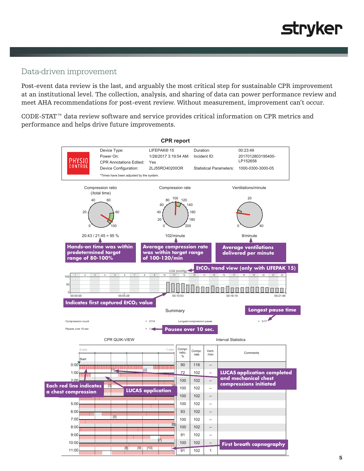

#### Data-driven improvement

Post-event data review is the last, and arguably the most critical step for sustainable CPR improvement at an institutional level. The collection, analysis, and sharing of data can power performance review and meet AHA recommendations for post-event review. Without measurement, improvement can't occur.

CODE-STAT™ data review software and service provides critical information on CPR metrics and performance and helps drive future improvements.